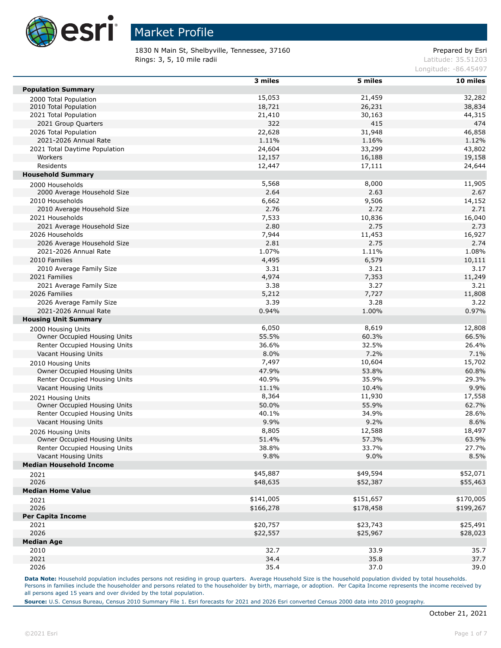

1830 N Main St, Shelbyville, Tennessee, 37160 Prepared by Esri **Rings: 3, 5, 10 mile radii** Latitude: 35.51203

Longitude: -86.45497

|                                                    | 3 miles        | 5 miles   | 10 miles      |
|----------------------------------------------------|----------------|-----------|---------------|
| <b>Population Summary</b>                          |                |           |               |
| 2000 Total Population                              | 15,053         | 21,459    | 32,282        |
| 2010 Total Population                              | 18,721         | 26,231    | 38,834        |
| 2021 Total Population                              | 21,410         | 30,163    | 44,315        |
| 2021 Group Quarters                                | 322            | 415       | 474           |
| 2026 Total Population                              | 22,628         | 31,948    | 46,858        |
| 2021-2026 Annual Rate                              | 1.11%          | 1.16%     | 1.12%         |
| 2021 Total Daytime Population                      | 24,604         | 33,299    | 43,802        |
| Workers                                            | 12,157         | 16,188    | 19,158        |
| Residents                                          | 12,447         | 17,111    | 24,644        |
| <b>Household Summary</b>                           |                |           |               |
| 2000 Households                                    | 5,568          | 8,000     | 11,905        |
| 2000 Average Household Size                        | 2.64           | 2.63      | 2.67          |
| 2010 Households                                    | 6,662          | 9,506     | 14,152        |
| 2010 Average Household Size                        | 2.76           | 2.72      | 2.71          |
| 2021 Households                                    | 7,533          | 10,836    | 16,040        |
| 2021 Average Household Size                        | 2.80           | 2.75      | 2.73          |
| 2026 Households                                    | 7,944          | 11,453    | 16,927        |
| 2026 Average Household Size                        | 2.81           | 2.75      | 2.74          |
| 2021-2026 Annual Rate                              | 1.07%          | 1.11%     | 1.08%         |
| 2010 Families                                      | 4,495          | 6,579     | 10,111        |
| 2010 Average Family Size                           | 3.31           | 3.21      | 3.17          |
| 2021 Families                                      | 4,974          | 7,353     | 11,249        |
| 2021 Average Family Size                           | 3.38           | 3.27      | 3.21          |
| 2026 Families                                      | 5,212          | 7,727     | 11,808        |
| 2026 Average Family Size                           | 3.39           | 3.28      | 3.22          |
| 2021-2026 Annual Rate                              | 0.94%          | 1.00%     | 0.97%         |
| <b>Housing Unit Summary</b>                        |                |           |               |
|                                                    | 6,050          | 8,619     | 12,808        |
| 2000 Housing Units<br>Owner Occupied Housing Units | 55.5%          | 60.3%     | 66.5%         |
| Renter Occupied Housing Units                      | 36.6%          | 32.5%     | 26.4%         |
| Vacant Housing Units                               | 8.0%           | 7.2%      | 7.1%          |
|                                                    | 7,497          | 10,604    | 15,702        |
| 2010 Housing Units                                 |                |           |               |
| Owner Occupied Housing Units                       | 47.9%          | 53.8%     | 60.8%         |
| Renter Occupied Housing Units                      | 40.9%<br>11.1% | 35.9%     | 29.3%<br>9.9% |
| Vacant Housing Units                               |                | 10.4%     |               |
| 2021 Housing Units                                 | 8,364          | 11,930    | 17,558        |
| Owner Occupied Housing Units                       | 50.0%          | 55.9%     | 62.7%         |
| Renter Occupied Housing Units                      | 40.1%          | 34.9%     | 28.6%         |
| Vacant Housing Units                               | 9.9%           | 9.2%      | 8.6%          |
| 2026 Housing Units                                 | 8,805          | 12,588    | 18,497        |
| Owner Occupied Housing Units                       | 51.4%          | 57.3%     | 63.9%         |
| Renter Occupied Housing Units                      | 38.8%          | 33.7%     | 27.7%         |
| Vacant Housing Units                               | 9.8%           | 9.0%      | 8.5%          |
| <b>Median Household Income</b>                     |                |           |               |
| 2021                                               | \$45,887       | \$49,594  | \$52,071      |
| 2026                                               | \$48,635       | \$52,387  | \$55,463      |
| <b>Median Home Value</b>                           |                |           |               |
| 2021                                               | \$141,005      | \$151,657 | \$170,005     |
| 2026                                               | \$166,278      | \$178,458 | \$199,267     |
| <b>Per Capita Income</b>                           |                |           |               |
| 2021                                               | \$20,757       | \$23,743  | \$25,491      |
| 2026                                               | \$22,557       | \$25,967  | \$28,023      |
| <b>Median Age</b>                                  |                |           |               |
| 2010                                               | 32.7           | 33.9      | 35.7          |
| 2021                                               | 34.4           | 35.8      | 37.7          |
| 2026                                               | 35.4           | 37.0      | 39.0          |

Data Note: Household population includes persons not residing in group quarters. Average Household Size is the household population divided by total households. Persons in families include the householder and persons related to the householder by birth, marriage, or adoption. Per Capita Income represents the income received by all persons aged 15 years and over divided by the total population.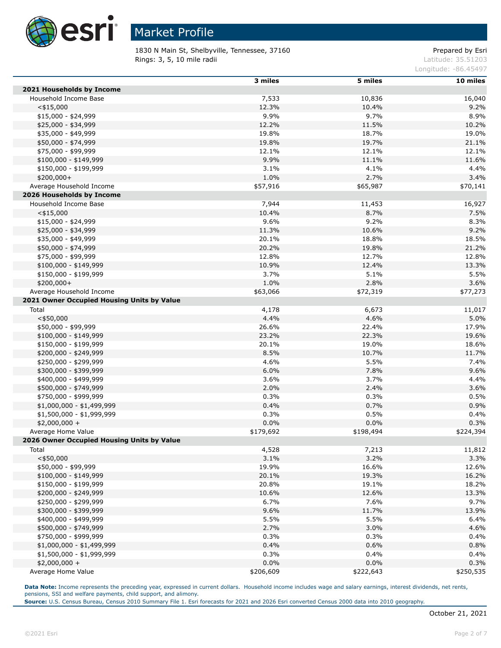

1830 N Main St, Shelbyville, Tennessee, 37160 Prepared by Esri **Rings: 3, 5, 10 mile radii** Latitude: 35.51203

Longitude: -86.45497

| 10 miles<br>2021 Households by Income<br>Household Income Base<br>7,533<br>10,836<br>16,040<br>$<$ \$15,000<br>12.3%<br>10.4%<br>9.2%<br>9.9%<br>9.7%<br>8.9%<br>$$15,000 - $24,999$<br>12.2%<br>11.5%<br>\$25,000 - \$34,999<br>10.2%<br>\$35,000 - \$49,999<br>19.8%<br>18.7%<br>19.0%<br>19.8%<br>19.7%<br>\$50,000 - \$74,999<br>21.1%<br>12.1%<br>\$75,000 - \$99,999<br>12.1%<br>12.1%<br>9.9%<br>11.1%<br>$$100,000 - $149,999$<br>11.6%<br>3.1%<br>4.1%<br>\$150,000 - \$199,999<br>4.4%<br>\$200,000+<br>1.0%<br>2.7%<br>3.4%<br>\$57,916<br>\$65,987<br>Average Household Income<br>\$70,141<br>2026 Households by Income<br>7,944 |
|----------------------------------------------------------------------------------------------------------------------------------------------------------------------------------------------------------------------------------------------------------------------------------------------------------------------------------------------------------------------------------------------------------------------------------------------------------------------------------------------------------------------------------------------------------------------------------------------------------------------------------------------|
|                                                                                                                                                                                                                                                                                                                                                                                                                                                                                                                                                                                                                                              |
|                                                                                                                                                                                                                                                                                                                                                                                                                                                                                                                                                                                                                                              |
|                                                                                                                                                                                                                                                                                                                                                                                                                                                                                                                                                                                                                                              |
|                                                                                                                                                                                                                                                                                                                                                                                                                                                                                                                                                                                                                                              |
|                                                                                                                                                                                                                                                                                                                                                                                                                                                                                                                                                                                                                                              |
|                                                                                                                                                                                                                                                                                                                                                                                                                                                                                                                                                                                                                                              |
|                                                                                                                                                                                                                                                                                                                                                                                                                                                                                                                                                                                                                                              |
|                                                                                                                                                                                                                                                                                                                                                                                                                                                                                                                                                                                                                                              |
|                                                                                                                                                                                                                                                                                                                                                                                                                                                                                                                                                                                                                                              |
|                                                                                                                                                                                                                                                                                                                                                                                                                                                                                                                                                                                                                                              |
|                                                                                                                                                                                                                                                                                                                                                                                                                                                                                                                                                                                                                                              |
|                                                                                                                                                                                                                                                                                                                                                                                                                                                                                                                                                                                                                                              |
|                                                                                                                                                                                                                                                                                                                                                                                                                                                                                                                                                                                                                                              |
| Household Income Base<br>11,453                                                                                                                                                                                                                                                                                                                                                                                                                                                                                                                                                                                                              |
| 16,927<br>10.4%<br>$<$ \$15,000<br>8.7%<br>7.5%                                                                                                                                                                                                                                                                                                                                                                                                                                                                                                                                                                                              |
| 9.6%<br>9.2%<br>8.3%<br>$$15,000 - $24,999$                                                                                                                                                                                                                                                                                                                                                                                                                                                                                                                                                                                                  |
| 11.3%<br>10.6%<br>9.2%<br>\$25,000 - \$34,999                                                                                                                                                                                                                                                                                                                                                                                                                                                                                                                                                                                                |
| 20.1%<br>\$35,000 - \$49,999<br>18.8%<br>18.5%                                                                                                                                                                                                                                                                                                                                                                                                                                                                                                                                                                                               |
| 20.2%<br>\$50,000 - \$74,999<br>19.8%                                                                                                                                                                                                                                                                                                                                                                                                                                                                                                                                                                                                        |
| 21.2%                                                                                                                                                                                                                                                                                                                                                                                                                                                                                                                                                                                                                                        |
| 12.8%<br>\$75,000 - \$99,999<br>12.7%<br>12.8%                                                                                                                                                                                                                                                                                                                                                                                                                                                                                                                                                                                               |
| 10.9%<br>12.4%<br>13.3%<br>$$100,000 - $149,999$                                                                                                                                                                                                                                                                                                                                                                                                                                                                                                                                                                                             |
| 3.7%<br>5.1%<br>5.5%<br>\$150,000 - \$199,999                                                                                                                                                                                                                                                                                                                                                                                                                                                                                                                                                                                                |
| \$200,000+<br>1.0%<br>2.8%<br>3.6%                                                                                                                                                                                                                                                                                                                                                                                                                                                                                                                                                                                                           |
| Average Household Income<br>\$63,066<br>\$72,319<br>\$77,273                                                                                                                                                                                                                                                                                                                                                                                                                                                                                                                                                                                 |
| 2021 Owner Occupied Housing Units by Value                                                                                                                                                                                                                                                                                                                                                                                                                                                                                                                                                                                                   |
| Total<br>4,178<br>6,673<br>11,017                                                                                                                                                                                                                                                                                                                                                                                                                                                                                                                                                                                                            |
| $<$ \$50,000<br>4.4%<br>4.6%<br>5.0%                                                                                                                                                                                                                                                                                                                                                                                                                                                                                                                                                                                                         |
| \$50,000 - \$99,999<br>26.6%<br>17.9%<br>22.4%                                                                                                                                                                                                                                                                                                                                                                                                                                                                                                                                                                                               |
| 23.2%<br>$$100,000 - $149,999$<br>22.3%<br>19.6%                                                                                                                                                                                                                                                                                                                                                                                                                                                                                                                                                                                             |
| 20.1%<br>\$150,000 - \$199,999<br>19.0%<br>18.6%                                                                                                                                                                                                                                                                                                                                                                                                                                                                                                                                                                                             |
| 8.5%<br>10.7%<br>\$200,000 - \$249,999<br>11.7%                                                                                                                                                                                                                                                                                                                                                                                                                                                                                                                                                                                              |
| 4.6%<br>5.5%<br>7.4%<br>\$250,000 - \$299,999                                                                                                                                                                                                                                                                                                                                                                                                                                                                                                                                                                                                |
| 6.0%<br>7.8%<br>9.6%<br>\$300,000 - \$399,999                                                                                                                                                                                                                                                                                                                                                                                                                                                                                                                                                                                                |
| \$400,000 - \$499,999<br>3.6%<br>3.7%<br>4.4%                                                                                                                                                                                                                                                                                                                                                                                                                                                                                                                                                                                                |
| 2.0%<br>2.4%<br>3.6%<br>\$500,000 - \$749,999                                                                                                                                                                                                                                                                                                                                                                                                                                                                                                                                                                                                |
| 0.3%<br>0.3%<br>0.5%<br>\$750,000 - \$999,999                                                                                                                                                                                                                                                                                                                                                                                                                                                                                                                                                                                                |
| 0.4%<br>0.7%<br>0.9%<br>\$1,000,000 - \$1,499,999                                                                                                                                                                                                                                                                                                                                                                                                                                                                                                                                                                                            |
| 0.3%<br>0.5%<br>0.4%<br>\$1,500,000 - \$1,999,999                                                                                                                                                                                                                                                                                                                                                                                                                                                                                                                                                                                            |
| 0.0%<br>0.0%<br>0.3%<br>$$2,000,000 +$                                                                                                                                                                                                                                                                                                                                                                                                                                                                                                                                                                                                       |
| \$179,692<br>Average Home Value<br>\$198,494<br>\$224,394                                                                                                                                                                                                                                                                                                                                                                                                                                                                                                                                                                                    |
| 2026 Owner Occupied Housing Units by Value                                                                                                                                                                                                                                                                                                                                                                                                                                                                                                                                                                                                   |
| Total<br>4,528<br>7,213<br>11,812                                                                                                                                                                                                                                                                                                                                                                                                                                                                                                                                                                                                            |
| $<$ \$50,000<br>3.1%<br>3.2%<br>3.3%                                                                                                                                                                                                                                                                                                                                                                                                                                                                                                                                                                                                         |
| \$50,000 - \$99,999<br>19.9%<br>16.6%<br>12.6%                                                                                                                                                                                                                                                                                                                                                                                                                                                                                                                                                                                               |
| 20.1%<br>$$100,000 - $149,999$<br>19.3%<br>16.2%                                                                                                                                                                                                                                                                                                                                                                                                                                                                                                                                                                                             |
| 20.8%<br>\$150,000 - \$199,999<br>19.1%<br>18.2%                                                                                                                                                                                                                                                                                                                                                                                                                                                                                                                                                                                             |
| 10.6%<br>12.6%<br>\$200,000 - \$249,999<br>13.3%                                                                                                                                                                                                                                                                                                                                                                                                                                                                                                                                                                                             |
| 6.7%<br>\$250,000 - \$299,999<br>7.6%<br>9.7%                                                                                                                                                                                                                                                                                                                                                                                                                                                                                                                                                                                                |
| \$300,000 - \$399,999<br>9.6%<br>11.7%<br>13.9%                                                                                                                                                                                                                                                                                                                                                                                                                                                                                                                                                                                              |
| \$400,000 - \$499,999<br>5.5%<br>5.5%<br>6.4%                                                                                                                                                                                                                                                                                                                                                                                                                                                                                                                                                                                                |
| 2.7%<br>\$500,000 - \$749,999<br>3.0%<br>4.6%                                                                                                                                                                                                                                                                                                                                                                                                                                                                                                                                                                                                |
| \$750,000 - \$999,999<br>0.3%<br>0.3%<br>0.4%                                                                                                                                                                                                                                                                                                                                                                                                                                                                                                                                                                                                |
| 0.4%<br>0.6%<br>0.8%<br>\$1,000,000 - \$1,499,999                                                                                                                                                                                                                                                                                                                                                                                                                                                                                                                                                                                            |
| \$1,500,000 - \$1,999,999<br>0.3%<br>0.4%<br>0.4%                                                                                                                                                                                                                                                                                                                                                                                                                                                                                                                                                                                            |
| 0.0%<br>$$2,000,000 +$<br>0.0%<br>0.3%                                                                                                                                                                                                                                                                                                                                                                                                                                                                                                                                                                                                       |
| Average Home Value<br>\$206,609<br>\$222,643<br>\$250,535                                                                                                                                                                                                                                                                                                                                                                                                                                                                                                                                                                                    |

Data Note: Income represents the preceding year, expressed in current dollars. Household income includes wage and salary earnings, interest dividends, net rents, pensions, SSI and welfare payments, child support, and alimony.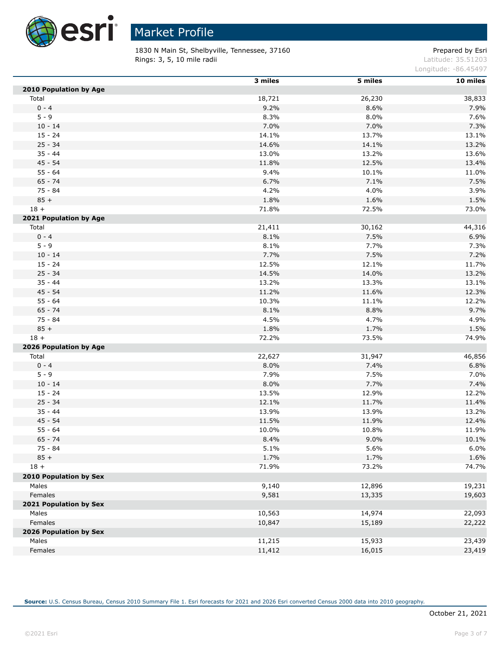

 $\overline{a}$ 

## Market Profile

1830 N Main St, Shelbyville, Tennessee, 37160 Prepared by Esri **Rings: 3, 5, 10 mile radii** Latitude: 35.51203

Longitude: -86.45497

|                        | 3 miles | 5 miles | 10 miles |
|------------------------|---------|---------|----------|
| 2010 Population by Age |         |         |          |
| Total                  | 18,721  | 26,230  | 38,833   |
| $0 - 4$                | 9.2%    | 8.6%    | 7.9%     |
| $5 - 9$                | 8.3%    | 8.0%    | 7.6%     |
| $10 - 14$              | 7.0%    | 7.0%    | 7.3%     |
| $15 - 24$              | 14.1%   | 13.7%   | 13.1%    |
| $25 - 34$              | 14.6%   | 14.1%   | 13.2%    |
| $35 - 44$              | 13.0%   | 13.2%   | 13.6%    |
| $45 - 54$              | 11.8%   | 12.5%   | 13.4%    |
| $55 - 64$              | 9.4%    | 10.1%   | 11.0%    |
| $65 - 74$              | 6.7%    | 7.1%    | 7.5%     |
| $75 - 84$              | 4.2%    | 4.0%    | 3.9%     |
| $85 +$                 | 1.8%    | 1.6%    | 1.5%     |
| $18 +$                 | 71.8%   | 72.5%   | 73.0%    |
| 2021 Population by Age |         |         |          |
| Total                  | 21,411  | 30,162  | 44,316   |
| $0 - 4$                | 8.1%    | 7.5%    | 6.9%     |
| $5 - 9$                | 8.1%    | 7.7%    | 7.3%     |
| $10 - 14$              | 7.7%    | 7.5%    | 7.2%     |
| $15 - 24$              | 12.5%   | 12.1%   | 11.7%    |
| $25 - 34$              | 14.5%   | 14.0%   | 13.2%    |
| $35 - 44$              | 13.2%   | 13.3%   | 13.1%    |
| $45 - 54$              | 11.2%   | 11.6%   | 12.3%    |
| $55 - 64$              | 10.3%   | 11.1%   | 12.2%    |
| $65 - 74$              | 8.1%    | 8.8%    | 9.7%     |
| 75 - 84                | 4.5%    | 4.7%    | 4.9%     |
| $85 +$                 | 1.8%    | 1.7%    | 1.5%     |
| $18 +$                 | 72.2%   | 73.5%   | 74.9%    |
| 2026 Population by Age |         |         |          |
| Total                  | 22,627  | 31,947  | 46,856   |
| $0 - 4$                | 8.0%    | 7.4%    | 6.8%     |
| $5 - 9$                | 7.9%    | 7.5%    | 7.0%     |
| $10 - 14$              | 8.0%    | 7.7%    | 7.4%     |
| $15 - 24$              | 13.5%   | 12.9%   | 12.2%    |
| $25 - 34$              | 12.1%   | 11.7%   | 11.4%    |
| $35 - 44$              | 13.9%   | 13.9%   | 13.2%    |
| $45 - 54$              | 11.5%   | 11.9%   | 12.4%    |
| $55 - 64$              | 10.0%   | 10.8%   | 11.9%    |
| $65 - 74$              | 8.4%    | 9.0%    | 10.1%    |
| $75 - 84$              | 5.1%    | 5.6%    | 6.0%     |
| $85 +$                 | 1.7%    | 1.7%    | 1.6%     |
| $18 +$                 | 71.9%   | 73.2%   | 74.7%    |
| 2010 Population by Sex |         |         |          |
| Males                  | 9,140   | 12,896  | 19,231   |
| Females                | 9,581   | 13,335  | 19,603   |
| 2021 Population by Sex |         |         |          |
| Males                  | 10,563  | 14,974  | 22,093   |
| Females                | 10,847  | 15,189  | 22,222   |
| 2026 Population by Sex |         |         |          |
| Males                  | 11,215  | 15,933  | 23,439   |
| Females                | 11,412  | 16,015  | 23,419   |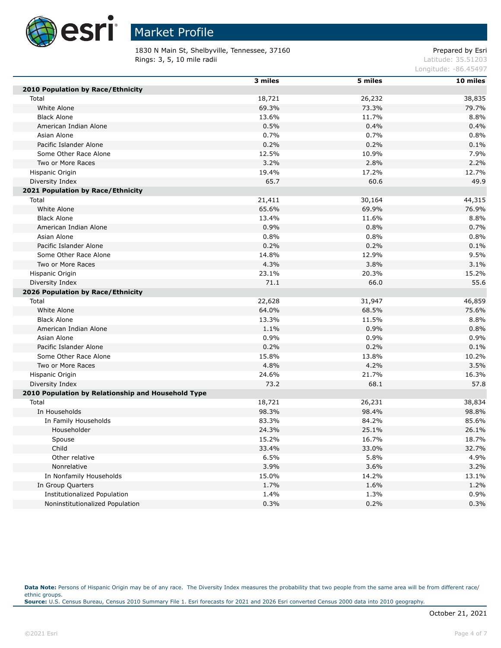

1830 N Main St, Shelbyville, Tennessee, 37160 Prepared by Esri **Rings: 3, 5, 10 mile radii** Latitude: 35.51203

Longitude: -86.45497

|                                                    | 3 miles | 5 miles | 10 miles |
|----------------------------------------------------|---------|---------|----------|
| 2010 Population by Race/Ethnicity                  |         |         |          |
| Total                                              | 18,721  | 26,232  | 38,835   |
| White Alone                                        | 69.3%   | 73.3%   | 79.7%    |
| <b>Black Alone</b>                                 | 13.6%   | 11.7%   | 8.8%     |
| American Indian Alone                              | 0.5%    | 0.4%    | 0.4%     |
| Asian Alone                                        | 0.7%    | 0.7%    | 0.8%     |
| Pacific Islander Alone                             | 0.2%    | 0.2%    | 0.1%     |
| Some Other Race Alone                              | 12.5%   | 10.9%   | 7.9%     |
| Two or More Races                                  | 3.2%    | 2.8%    | 2.2%     |
| Hispanic Origin                                    | 19.4%   | 17.2%   | 12.7%    |
| Diversity Index                                    | 65.7    | 60.6    | 49.9     |
| 2021 Population by Race/Ethnicity                  |         |         |          |
| Total                                              | 21,411  | 30,164  | 44,315   |
| White Alone                                        | 65.6%   | 69.9%   | 76.9%    |
| <b>Black Alone</b>                                 | 13.4%   | 11.6%   | 8.8%     |
| American Indian Alone                              | 0.9%    | 0.8%    | 0.7%     |
| Asian Alone                                        | 0.8%    | 0.8%    | 0.8%     |
| Pacific Islander Alone                             | 0.2%    | 0.2%    | 0.1%     |
| Some Other Race Alone                              | 14.8%   | 12.9%   | 9.5%     |
| Two or More Races                                  | 4.3%    | 3.8%    | 3.1%     |
| Hispanic Origin                                    | 23.1%   | 20.3%   | 15.2%    |
| Diversity Index                                    | 71.1    | 66.0    | 55.6     |
| 2026 Population by Race/Ethnicity                  |         |         |          |
| Total                                              | 22,628  | 31,947  | 46,859   |
| White Alone                                        | 64.0%   | 68.5%   | 75.6%    |
| <b>Black Alone</b>                                 | 13.3%   | 11.5%   | 8.8%     |
| American Indian Alone                              | 1.1%    | 0.9%    | 0.8%     |
| Asian Alone                                        | 0.9%    | 0.9%    | 0.9%     |
| Pacific Islander Alone                             | 0.2%    | 0.2%    | 0.1%     |
| Some Other Race Alone                              | 15.8%   | 13.8%   | 10.2%    |
| Two or More Races                                  | 4.8%    | 4.2%    | 3.5%     |
| Hispanic Origin                                    | 24.6%   | 21.7%   | 16.3%    |
| Diversity Index                                    | 73.2    | 68.1    | 57.8     |
| 2010 Population by Relationship and Household Type |         |         |          |
| Total                                              | 18,721  | 26,231  | 38,834   |
| In Households                                      | 98.3%   | 98.4%   | 98.8%    |
| In Family Households                               | 83.3%   | 84.2%   | 85.6%    |
| Householder                                        | 24.3%   | 25.1%   | 26.1%    |
| Spouse                                             | 15.2%   | 16.7%   | 18.7%    |
| Child                                              | 33.4%   | 33.0%   | 32.7%    |
| Other relative                                     | 6.5%    | 5.8%    | 4.9%     |
| Nonrelative                                        | 3.9%    | 3.6%    | 3.2%     |
| In Nonfamily Households                            | 15.0%   | 14.2%   | 13.1%    |
| In Group Quarters                                  | 1.7%    | 1.6%    | 1.2%     |
| <b>Institutionalized Population</b>                | 1.4%    | 1.3%    | 0.9%     |
| Noninstitutionalized Population                    | 0.3%    | 0.2%    | 0.3%     |

Data Note: Persons of Hispanic Origin may be of any race. The Diversity Index measures the probability that two people from the same area will be from different race/ ethnic groups. **Source:** U.S. Census Bureau, Census 2010 Summary File 1. Esri forecasts for 2021 and 2026 Esri converted Census 2000 data into 2010 geography.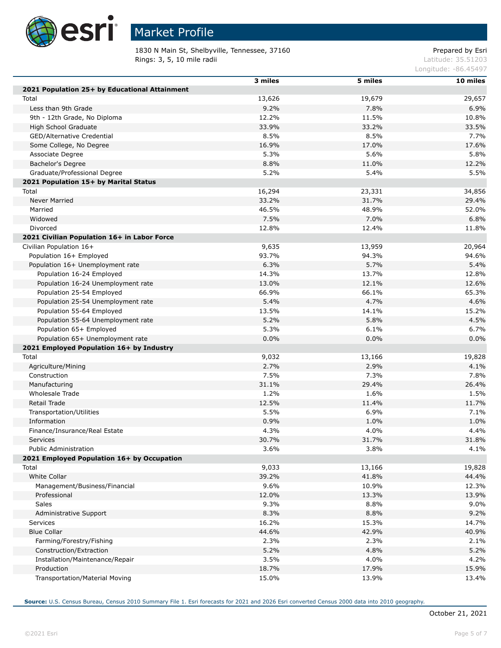

 $\overline{\phantom{a}}$ Г

Г

Г

# Market Profile

1830 N Main St, Shelbyville, Tennessee, 37160 Prepared by Esri **Rings: 3, 5, 10 mile radii** Latitude: 35.51203

Longitude: -86.45497

|                                               | 3 miles | 5 miles | 10 miles |
|-----------------------------------------------|---------|---------|----------|
| 2021 Population 25+ by Educational Attainment |         |         |          |
| Total                                         | 13,626  | 19,679  | 29,657   |
| Less than 9th Grade                           | 9.2%    | 7.8%    | 6.9%     |
| 9th - 12th Grade, No Diploma                  | 12.2%   | 11.5%   | 10.8%    |
| High School Graduate                          | 33.9%   | 33.2%   | 33.5%    |
| GED/Alternative Credential                    | 8.5%    | 8.5%    | 7.7%     |
|                                               | 16.9%   | 17.0%   | 17.6%    |
| Some College, No Degree                       | 5.3%    | 5.6%    | 5.8%     |
| Associate Degree                              |         |         |          |
| Bachelor's Degree                             | 8.8%    | 11.0%   | 12.2%    |
| Graduate/Professional Degree                  | 5.2%    | 5.4%    | 5.5%     |
| 2021 Population 15+ by Marital Status         |         |         |          |
| Total                                         | 16,294  | 23,331  | 34,856   |
| Never Married                                 | 33.2%   | 31.7%   | 29.4%    |
| Married                                       | 46.5%   | 48.9%   | 52.0%    |
| Widowed                                       | 7.5%    | 7.0%    | 6.8%     |
| Divorced                                      | 12.8%   | 12.4%   | 11.8%    |
| 2021 Civilian Population 16+ in Labor Force   |         |         |          |
| Civilian Population 16+                       | 9,635   | 13,959  | 20,964   |
| Population 16+ Employed                       | 93.7%   | 94.3%   | 94.6%    |
| Population 16+ Unemployment rate              | 6.3%    | 5.7%    | 5.4%     |
| Population 16-24 Employed                     | 14.3%   | 13.7%   | 12.8%    |
| Population 16-24 Unemployment rate            | 13.0%   | 12.1%   | 12.6%    |
| Population 25-54 Employed                     | 66.9%   | 66.1%   | 65.3%    |
| Population 25-54 Unemployment rate            | 5.4%    | 4.7%    | 4.6%     |
| Population 55-64 Employed                     | 13.5%   | 14.1%   | 15.2%    |
| Population 55-64 Unemployment rate            | 5.2%    | 5.8%    | 4.5%     |
| Population 65+ Employed                       | 5.3%    | 6.1%    | 6.7%     |
| Population 65+ Unemployment rate              | 0.0%    | 0.0%    | 0.0%     |
| 2021 Employed Population 16+ by Industry      |         |         |          |
| Total                                         | 9,032   | 13,166  | 19,828   |
| Agriculture/Mining                            | 2.7%    | 2.9%    | 4.1%     |
| Construction                                  | 7.5%    | 7.3%    | 7.8%     |
| Manufacturing                                 | 31.1%   | 29.4%   | 26.4%    |
| Wholesale Trade                               | 1.2%    | 1.6%    | 1.5%     |
| Retail Trade                                  | 12.5%   | 11.4%   | 11.7%    |
| Transportation/Utilities                      | 5.5%    | 6.9%    | 7.1%     |
| Information                                   | 0.9%    | 1.0%    | 1.0%     |
| Finance/Insurance/Real Estate                 | 4.3%    | 4.0%    | 4.4%     |
| Services                                      | 30.7%   | 31.7%   | 31.8%    |
| Public Administration                         | 3.6%    | 3.8%    | 4.1%     |
| 2021 Employed Population 16+ by Occupation    |         |         |          |
| Total                                         | 9,033   | 13,166  | 19,828   |
| White Collar                                  | 39.2%   | 41.8%   | 44.4%    |
| Management/Business/Financial                 | 9.6%    | 10.9%   | 12.3%    |
| Professional                                  | 12.0%   | 13.3%   | 13.9%    |
| <b>Sales</b>                                  | 9.3%    | 8.8%    | 9.0%     |
|                                               | 8.3%    | 8.8%    | 9.2%     |
| Administrative Support                        |         |         |          |
| <b>Services</b>                               | 16.2%   | 15.3%   | 14.7%    |
| <b>Blue Collar</b>                            | 44.6%   | 42.9%   | 40.9%    |
| Farming/Forestry/Fishing                      | 2.3%    | 2.3%    | 2.1%     |
| Construction/Extraction                       | 5.2%    | 4.8%    | 5.2%     |
| Installation/Maintenance/Repair               | 3.5%    | 4.0%    | 4.2%     |
| Production                                    | 18.7%   | 17.9%   | 15.9%    |
| Transportation/Material Moving                | 15.0%   | 13.9%   | 13.4%    |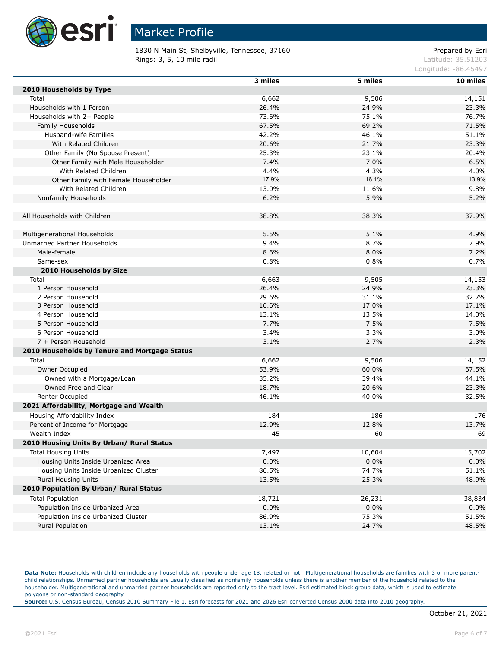

1830 N Main St, Shelbyville, Tennessee, 37160 Prepared by Esri **Rings: 3, 5, 10 mile radii** Latitude: 35.51203

Longitude: -86.45497

|                                               | 3 miles | 5 miles | 10 miles |
|-----------------------------------------------|---------|---------|----------|
| 2010 Households by Type                       |         |         |          |
| Total                                         | 6,662   | 9,506   | 14,151   |
| Households with 1 Person                      | 26.4%   | 24.9%   | 23.3%    |
| Households with 2+ People                     | 73.6%   | 75.1%   | 76.7%    |
| Family Households                             | 67.5%   | 69.2%   | 71.5%    |
| Husband-wife Families                         | 42.2%   | 46.1%   | 51.1%    |
| With Related Children                         | 20.6%   | 21.7%   | 23.3%    |
| Other Family (No Spouse Present)              | 25.3%   | 23.1%   | 20.4%    |
| Other Family with Male Householder            | 7.4%    | 7.0%    | 6.5%     |
| With Related Children                         | 4.4%    | 4.3%    | 4.0%     |
| Other Family with Female Householder          | 17.9%   | 16.1%   | 13.9%    |
| With Related Children                         | 13.0%   | 11.6%   | 9.8%     |
| Nonfamily Households                          | 6.2%    | 5.9%    | 5.2%     |
|                                               |         |         |          |
| All Households with Children                  | 38.8%   | 38.3%   | 37.9%    |
|                                               |         |         |          |
| Multigenerational Households                  | 5.5%    | 5.1%    | 4.9%     |
| Unmarried Partner Households                  | 9.4%    | 8.7%    | 7.9%     |
| Male-female                                   | 8.6%    | 8.0%    | 7.2%     |
| Same-sex                                      | 0.8%    | 0.8%    | 0.7%     |
| 2010 Households by Size                       |         |         |          |
| Total                                         | 6,663   | 9,505   | 14,153   |
| 1 Person Household                            | 26.4%   | 24.9%   | 23.3%    |
| 2 Person Household                            | 29.6%   | 31.1%   | 32.7%    |
| 3 Person Household                            | 16.6%   | 17.0%   | 17.1%    |
| 4 Person Household                            | 13.1%   | 13.5%   | 14.0%    |
| 5 Person Household                            | 7.7%    | 7.5%    | 7.5%     |
| 6 Person Household                            | 3.4%    | 3.3%    | 3.0%     |
| 7 + Person Household                          | 3.1%    | 2.7%    | 2.3%     |
| 2010 Households by Tenure and Mortgage Status |         |         |          |
|                                               |         |         |          |
| Total                                         | 6,662   | 9,506   | 14,152   |
| Owner Occupied                                | 53.9%   | 60.0%   | 67.5%    |
| Owned with a Mortgage/Loan                    | 35.2%   | 39.4%   | 44.1%    |
| Owned Free and Clear                          | 18.7%   | 20.6%   | 23.3%    |
| Renter Occupied                               | 46.1%   | 40.0%   | 32.5%    |
| 2021 Affordability, Mortgage and Wealth       |         |         |          |
| Housing Affordability Index                   | 184     | 186     | 176      |
| Percent of Income for Mortgage                | 12.9%   | 12.8%   | 13.7%    |
| Wealth Index                                  | 45      | 60      | 69       |
| 2010 Housing Units By Urban/ Rural Status     |         |         |          |
| <b>Total Housing Units</b>                    | 7,497   | 10,604  | 15,702   |
| Housing Units Inside Urbanized Area           | 0.0%    | $0.0\%$ | 0.0%     |
| Housing Units Inside Urbanized Cluster        | 86.5%   | 74.7%   | 51.1%    |
| Rural Housing Units                           | 13.5%   | 25.3%   | 48.9%    |
| 2010 Population By Urban/ Rural Status        |         |         |          |
| <b>Total Population</b>                       | 18,721  | 26,231  | 38,834   |
| Population Inside Urbanized Area              | 0.0%    | 0.0%    | 0.0%     |
| Population Inside Urbanized Cluster           | 86.9%   | 75.3%   | 51.5%    |
| <b>Rural Population</b>                       | 13.1%   | 24.7%   | 48.5%    |

Data Note: Households with children include any households with people under age 18, related or not. Multigenerational households are families with 3 or more parentchild relationships. Unmarried partner households are usually classified as nonfamily households unless there is another member of the household related to the householder. Multigenerational and unmarried partner households are reported only to the tract level. Esri estimated block group data, which is used to estimate polygons or non-standard geography.